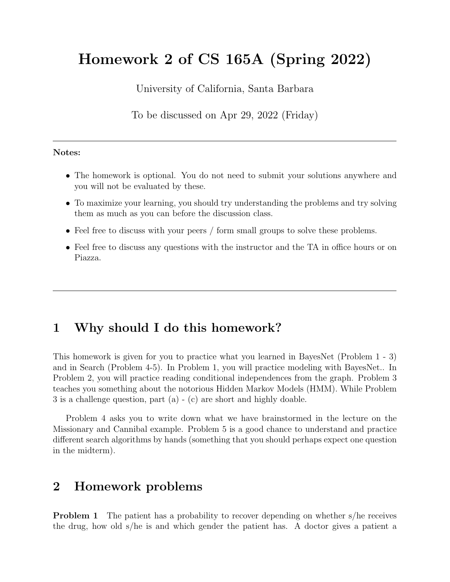# Homework 2 of CS 165A (Spring 2022)

University of California, Santa Barbara

To be discussed on Apr 29, 2022 (Friday)

#### Notes:

- The homework is optional. You do not need to submit your solutions anywhere and you will not be evaluated by these.
- To maximize your learning, you should try understanding the problems and try solving them as much as you can before the discussion class.
- Feel free to discuss with your peers / form small groups to solve these problems.
- Feel free to discuss any questions with the instructor and the TA in office hours or on Piazza.

## 1 Why should I do this homework?

This homework is given for you to practice what you learned in BayesNet (Problem 1 - 3) and in Search (Problem 4-5). In Problem 1, you will practice modeling with BayesNet.. In Problem 2, you will practice reading conditional independences from the graph. Problem 3 teaches you something about the notorious Hidden Markov Models (HMM). While Problem 3 is a challenge question, part (a) - (c) are short and highly doable.

Problem 4 asks you to write down what we have brainstormed in the lecture on the Missionary and Cannibal example. Problem 5 is a good chance to understand and practice different search algorithms by hands (something that you should perhaps expect one question in the midterm).

#### 2 Homework problems

**Problem 1** The patient has a probability to recover depending on whether s/he receives the drug, how old s/he is and which gender the patient has. A doctor gives a patient a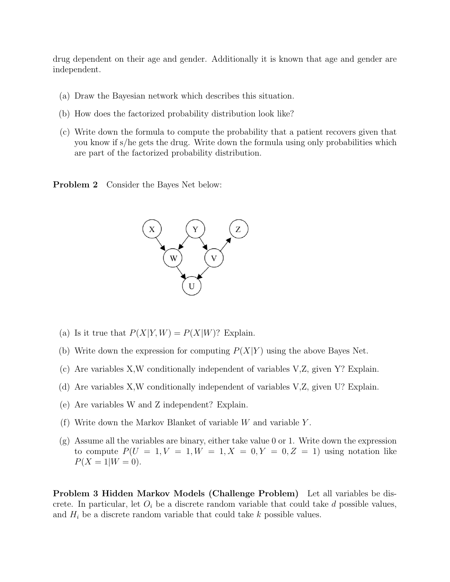drug dependent on their age and gender. Additionally it is known that age and gender are independent.

- (a) Draw the Bayesian network which describes this situation.
- (b) How does the factorized probability distribution look like?
- (c) Write down the formula to compute the probability that a patient recovers given that you know if s/he gets the drug. Write down the formula using only probabilities which are part of the factorized probability distribution.

**Problem 2** Consider the Bayes Net below:



- (a) Is it true that  $P(X|Y, W) = P(X|W)$ ? Explain.
- (b) Write down the expression for computing  $P(X|Y)$  using the above Bayes Net.
- (c) Are variables X,W conditionally independent of variables V,Z, given Y? Explain.
- (d) Are variables X,W conditionally independent of variables V,Z, given U? Explain.
- (e) Are variables W and Z independent? Explain.
- (f) Write down the Markov Blanket of variable W and variable Y .
- (g) Assume all the variables are binary, either take value 0 or 1. Write down the expression to compute  $P(U = 1, V = 1, W = 1, X = 0, Y = 0, Z = 1)$  using notation like  $P(X = 1|W = 0).$

Problem 3 Hidden Markov Models (Challenge Problem) Let all variables be discrete. In particular, let  $O_i$  be a discrete random variable that could take d possible values, and  $H_i$  be a discrete random variable that could take k possible values.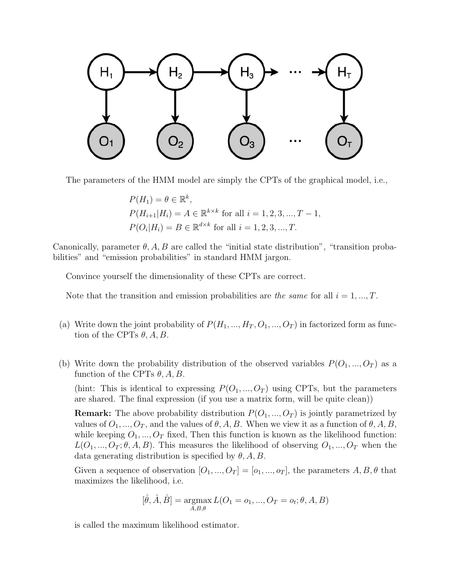

The parameters of the HMM model are simply the CPTs of the graphical model, i.e.,

$$
P(H_1) = \theta \in \mathbb{R}^k,
$$
  
\n
$$
P(H_{i+1}|H_i) = A \in \mathbb{R}^{k \times k} \text{ for all } i = 1, 2, 3, ..., T - 1,
$$
  
\n
$$
P(O_i|H_i) = B \in \mathbb{R}^{d \times k} \text{ for all } i = 1, 2, 3, ..., T.
$$

Canonically, parameter  $\theta$ , A, B are called the "initial state distribution", "transition probabilities" and "emission probabilities" in standard HMM jargon.

Convince yourself the dimensionality of these CPTs are correct.

Note that the transition and emission probabilities are the same for all  $i = 1, ..., T$ .

- (a) Write down the joint probability of  $P(H_1, ..., H_T, O_1, ..., O_T)$  in factorized form as function of the CPTs  $\theta$ , A, B.
- (b) Write down the probability distribution of the observed variables  $P(O_1, ..., O_T)$  as a function of the CPTs  $\theta$ , A, B.

(hint: This is identical to expressing  $P(O_1, ..., O_T)$  using CPTs, but the parameters are shared. The final expression (if you use a matrix form, will be quite clean))

**Remark:** The above probability distribution  $P(O_1, ..., O_T)$  is jointly parametrized by values of  $O_1, ..., O_T$ , and the values of  $\theta, A, B$ . When we view it as a function of  $\theta, A, B$ , while keeping  $O_1, ..., O_T$  fixed, Then this function is known as the likelihood function:  $L(O_1, ..., O_T; \theta, A, B)$ . This measures the likelihood of observing  $O_1, ..., O_T$  when the data generating distribution is specified by  $\theta$ , A, B.

Given a sequence of observation  $[O_1, ..., O_T] = [o_1, ..., o_T]$ , the parameters  $A, B, \theta$  that maximizes the likelihood, i.e.

$$
[\hat{\theta}, \hat{A}, \hat{B}] = \underset{A, B, \theta}{\text{argmax}} L(O_1 = o_1, ..., O_T = o_t; \theta, A, B)
$$

is called the maximum likelihood estimator.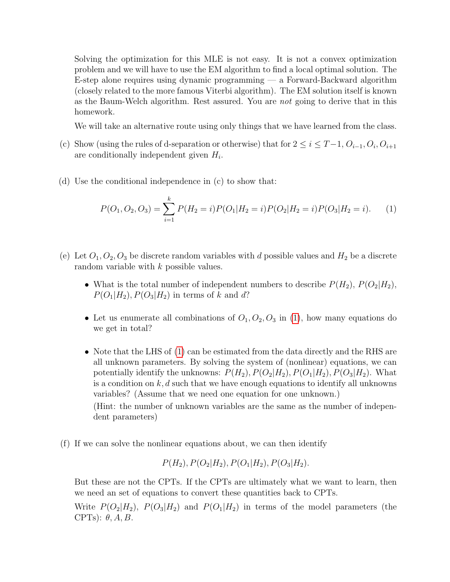Solving the optimization for this MLE is not easy. It is not a convex optimization problem and we will have to use the EM algorithm to find a local optimal solution. The E-step alone requires using dynamic programming — a Forward-Backward algorithm (closely related to the more famous Viterbi algorithm). The EM solution itself is known as the Baum-Welch algorithm. Rest assured. You are not going to derive that in this homework.

We will take an alternative route using only things that we have learned from the class.

- (c) Show (using the rules of d-separation or otherwise) that for  $2 \leq i \leq T-1$ ,  $O_{i-1}$ ,  $O_i$ ,  $O_{i+1}$ are conditionally independent given  $H_i$ .
- (d) Use the conditional independence in (c) to show that:

<span id="page-3-0"></span>
$$
P(O_1, O_2, O_3) = \sum_{i=1}^{k} P(H_2 = i) P(O_1 | H_2 = i) P(O_2 | H_2 = i) P(O_3 | H_2 = i).
$$
 (1)

- (e) Let  $O_1, O_2, O_3$  be discrete random variables with d possible values and  $H_2$  be a discrete random variable with k possible values.
	- What is the total number of independent numbers to describe  $P(H_2)$ ,  $P(O_2|H_2)$ ,  $P(O_1|H_2), P(O_3|H_2)$  in terms of k and d?
	- Let us enumerate all combinations of  $O_1, O_2, O_3$  in [\(1\)](#page-3-0), how many equations do we get in total?
	- Note that the LHS of [\(1\)](#page-3-0) can be estimated from the data directly and the RHS are all unknown parameters. By solving the system of (nonlinear) equations, we can potentially identify the unknowns:  $P(H_2), P(O_2|H_2), P(O_1|H_2), P(O_3|H_2)$ . What is a condition on  $k, d$  such that we have enough equations to identify all unknowns variables? (Assume that we need one equation for one unknown.) (Hint: the number of unknown variables are the same as the number of independent parameters)
- (f) If we can solve the nonlinear equations about, we can then identify

$$
P(H_2), P(O_2|H_2), P(O_1|H_2), P(O_3|H_2).
$$

But these are not the CPTs. If the CPTs are ultimately what we want to learn, then we need an set of equations to convert these quantities back to CPTs.

Write  $P(O_2|H_2)$ ,  $P(O_3|H_2)$  and  $P(O_1|H_2)$  in terms of the model parameters (the CPTs):  $\theta$ , A, B.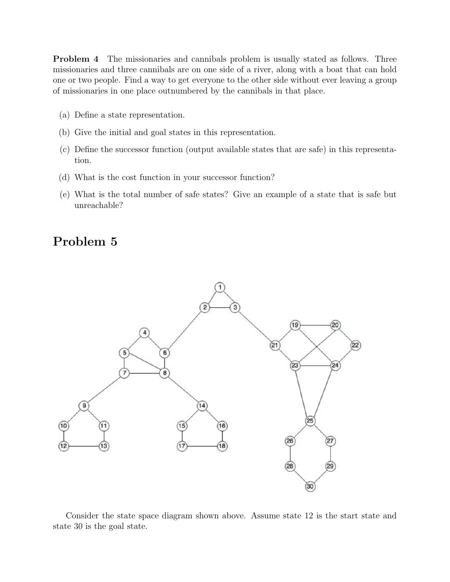Problem 4 The missionaries and cannibals problem is usually stated as follows. Three missionaries and three cannibals are on one side of a river, along with a boat that can hold one or two people. Find a way to get everyone to the other side without ever leaving a group of missionaries in one place outnumbered by the cannibals in that place.

- (a) Define a state representation.
- (b) Give the initial and goal states in this representation.
- (c) Define the successor function (output available states that are safe) in this representation.
- (d) What is the cost function in your successor function?
- (e) What is the total number of safe states? Give an example of a state that is safe but unreachable?

## Problem 5



Consider the state space diagram shown above. Assume state 12 is the start state and state 30 is the goal state.